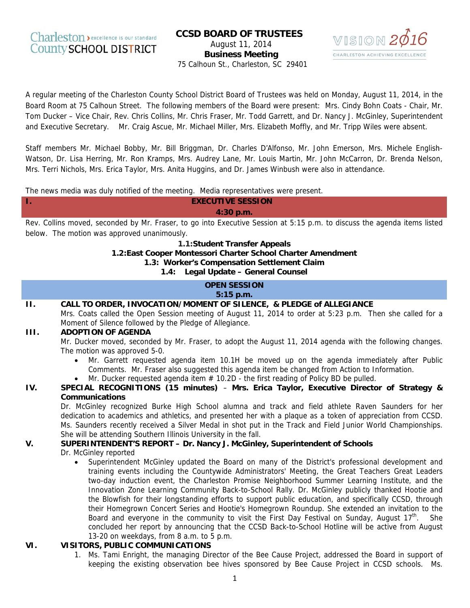## **CCSD BOARD OF TRUSTEES** August 11, 2014 **Business Meeting** 75 Calhoun St., Charleston, SC 29401



A regular meeting of the Charleston County School District Board of Trustees was held on Monday, August 11, 2014, in the Board Room at 75 Calhoun Street. The following members of the Board were present: Mrs. Cindy Bohn Coats - Chair, Mr. Tom Ducker – Vice Chair, Rev. Chris Collins, Mr. Chris Fraser, Mr. Todd Garrett, and Dr. Nancy J. McGinley, Superintendent and Executive Secretary. Mr. Craig Ascue, Mr. Michael Miller, Mrs. Elizabeth Moffly, and Mr. Tripp Wiles were absent.

Staff members Mr. Michael Bobby, Mr. Bill Briggman, Dr. Charles D'Alfonso, Mr. John Emerson, Mrs. Michele English-Watson, Dr. Lisa Herring, Mr. Ron Kramps, Mrs. Audrey Lane, Mr. Louis Martin, Mr. John McCarron, Dr. Brenda Nelson, Mrs. Terri Nichols, Mrs. Erica Taylor, Mrs. Anita Huggins, and Dr. James Winbush were also in attendance.

The news media was duly notified of the meeting. Media representatives were present.

**EXECUTIVE SESSION**  $4:30 p.m.$ 

Rev. Collins moved, seconded by Mr. Fraser, to go into Executive Session at 5:15 p.m. to discuss the agenda items listed below. The motion was approved unanimously.

1.1:Student Transfer Appeals

1.2: East Cooper Montessori Charter School Charter Amendment

1.3: Worker's Compensation Settlement Claim

1.4: Legal Update - General Counsel

## **OPEN SESSION**  $5:15$  p.m.

#### $\Pi$ . CALL TO ORDER, INVOCATION/MOMENT OF SILENCE, & PLEDGE of ALLEGIANCE

Mrs. Coats called the Open Session meeting of August 11, 2014 to order at 5:23 p.m. Then she called for a Moment of Silence followed by the Pledge of Allegiance.

#### **HI. ADOPTION OF AGENDA**

L.

Mr. Ducker moved, seconded by Mr. Fraser, to adopt the August 11, 2014 agenda with the following changes. The motion was approved 5-0.

- Mr. Garrett requested agenda item 10.1H be moved up on the agenda immediately after Public Comments. Mr. Fraser also suggested this agenda item be changed from Action to Information.
- Mr. Ducker requested agenda item  $# 10.2D -$  the first reading of Policy BD be pulled.

#### IV. SPECIAL RECOGNITIONS (15 minutes) - Mrs. Erica Taylor, Executive Director of Strategy & **Communications**

Dr. McGinley recognized Burke High School alumna and track and field athlete Raven Saunders for her dedication to academics and athletics, and presented her with a plaque as a token of appreciation from CCSD. Ms. Saunders recently received a Silver Medal in shot put in the Track and Field Junior World Championships. She will be attending Southern Illinois University in the fall.

#### V. SUPERINTENDENT'S REPORT - Dr. Nancy J. McGinley, Superintendent of Schools

### Dr. McGinley reported

Superintendent McGinley updated the Board on many of the District's professional development and training events including the Countywide Administrators' Meeting, the Great Teachers Great Leaders two-day induction event, the Charleston Promise Neighborhood Summer Learning Institute, and the Innovation Zone Learning Community Back-to-School Rally. Dr. McGinley publicly thanked Hootie and the Blowfish for their longstanding efforts to support public education, and specifically CCSD, through their Homegrown Concert Series and Hootie's Homegrown Roundup. She extended an invitation to the Board and everyone in the community to visit the First Day Festival on Sunday, August  $17^{\text{th}}$ . She concluded her report by announcing that the CCSD Back-to-School Hotline will be active from August 13-20 on weekdays, from 8 a.m. to 5 p.m.

#### $VI.$ **VISITORS, PUBLIC COMMUNICATIONS**

1. Ms. Tami Enright, the managing Director of the Bee Cause Project, addressed the Board in support of keeping the existing observation bee hives sponsored by Bee Cause Project in CCSD schools. Ms.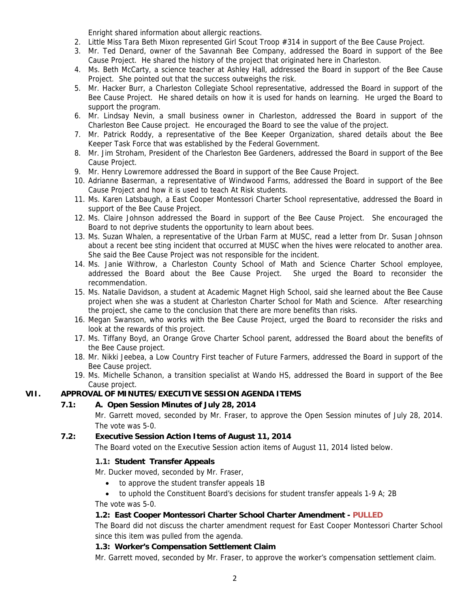Enright shared information about allergic reactions.

- 2. Little Miss Tara Beth Mixon represented Girl Scout Troop #314 in support of the Bee Cause Project.
- 3. Mr. Ted Denard, owner of the Savannah Bee Company, addressed the Board in support of the Bee Cause Project. He shared the history of the project that originated here in Charleston.
- 4. Ms. Beth McCarty, a science teacher at Ashley Hall, addressed the Board in support of the Bee Cause Project. She pointed out that the success outweighs the risk.
- 5. Mr. Hacker Burr, a Charleston Collegiate School representative, addressed the Board in support of the Bee Cause Project. He shared details on how it is used for hands on learning. He urged the Board to support the program.
- 6. Mr. Lindsay Nevin, a small business owner in Charleston, addressed the Board in support of the Charleston Bee Cause project. He encouraged the Board to see the value of the project.
- 7. Mr. Patrick Roddy, a representative of the Bee Keeper Organization, shared details about the Bee Keeper Task Force that was established by the Federal Government.
- 8. Mr. Jim Stroham, President of the Charleston Bee Gardeners, addressed the Board in support of the Bee Cause Project.
- 9. Mr. Henry Lowremore addressed the Board in support of the Bee Cause Project.
- 10. Adrianne Baserman, a representative of Windwood Farms, addressed the Board in support of the Bee Cause Project and how it is used to teach At Risk students.
- 11. Ms. Karen Latsbaugh, a East Cooper Montessori Charter School representative, addressed the Board in support of the Bee Cause Project.
- 12. Ms. Claire Johnson addressed the Board in support of the Bee Cause Project. She encouraged the Board to not deprive students the opportunity to learn about bees.
- 13. Ms. Suzan Whalen, a representative of the Urban Farm at MUSC, read a letter from Dr. Susan Johnson about a recent bee sting incident that occurred at MUSC when the hives were relocated to another area. She said the Bee Cause Project was not responsible for the incident.
- 14. Ms. Janie Withrow, a Charleston County School of Math and Science Charter School employee, addressed the Board about the Bee Cause Project. She urged the Board to reconsider the recommendation.
- 15. Ms. Natalie Davidson, a student at Academic Magnet High School, said she learned about the Bee Cause project when she was a student at Charleston Charter School for Math and Science. After researching the project, she came to the conclusion that there are more benefits than risks.
- 16. Megan Swanson, who works with the Bee Cause Project, urged the Board to reconsider the risks and look at the rewards of this project.
- 17. Ms. Tiffany Boyd, an Orange Grove Charter School parent, addressed the Board about the benefits of the Bee Cause project.
- 18. Mr. Nikki Jeebea, a Low Country First teacher of Future Farmers, addressed the Board in support of the Bee Cause project.
- 19. Ms. Michelle Schanon, a transition specialist at Wando HS, addressed the Board in support of the Bee Cause project.

# **VII. APPROVAL OF MINUTES/EXECUTIVE SESSION AGENDA ITEMS**

## **7.1: A. Open Session Minutes of July 28, 2014**

Mr. Garrett moved, seconded by Mr. Fraser, to approve the Open Session minutes of July 28, 2014. The vote was 5-0.

## **7.2: Executive Session Action Items of August 11, 2014**

The Board voted on the Executive Session action items of August 11, 2014 listed below.

### **1.1: Student Transfer Appeals**

Mr. Ducker moved, seconded by Mr. Fraser,

- to approve the student transfer appeals 1B
- to uphold the Constituent Board's decisions for student transfer appeals 1-9 A; 2B

The vote was 5-0.

## **1.2: East Cooper Montessori Charter School Charter Amendment - PULLED**

The Board did not discuss the charter amendment request for East Cooper Montessori Charter School since this item was pulled from the agenda.

## **1.3: Worker's Compensation Settlement Claim**

Mr. Garrett moved, seconded by Mr. Fraser, to approve the worker's compensation settlement claim.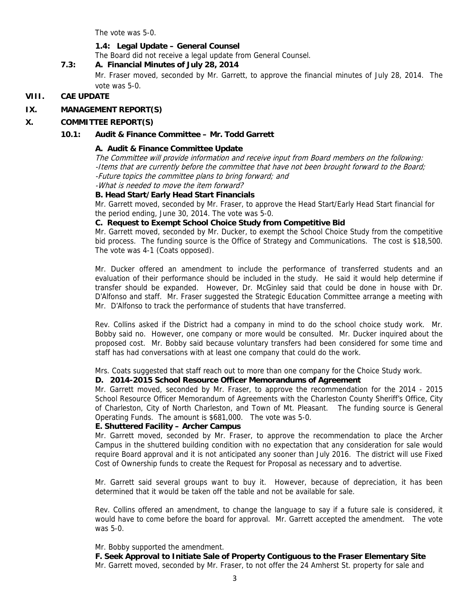The vote was 5-0.

### **1.4: Legal Update – General Counsel**

The Board did not receive a legal update from General Counsel.

## **7.3: A. Financial Minutes of July 28, 2014**

Mr. Fraser moved, seconded by Mr. Garrett, to approve the financial minutes of July 28, 2014. The vote was 5-0.

#### **VIII. CAE UPDATE**

#### **IX. MANAGEMENT REPORT(S)**

#### **X. COMMITTEE REPORT(S)**

#### **10.1: Audit & Finance Committee – Mr. Todd Garrett**

#### **A. Audit & Finance Committee Update**

The Committee will provide information and receive input from Board members on the following: -Items that are currently before the committee that have not been brought forward to the Board; -Future topics the committee plans to bring forward; and

-What is needed to move the item forward?

#### **B. Head Start/Early Head Start Financials**

Mr. Garrett moved, seconded by Mr. Fraser, to approve the Head Start/Early Head Start financial for the period ending, June 30, 2014. The vote was 5-0.

#### **C. Request to Exempt School Choice Study from Competitive Bid**

Mr. Garrett moved, seconded by Mr. Ducker, to exempt the School Choice Study from the competitive bid process. The funding source is the Office of Strategy and Communications. The cost is \$18,500. The vote was 4-1 (Coats opposed).

Mr. Ducker offered an amendment to include the performance of transferred students and an evaluation of their performance should be included in the study. He said it would help determine if transfer should be expanded. However, Dr. McGinley said that could be done in house with Dr. D'Alfonso and staff. Mr. Fraser suggested the Strategic Education Committee arrange a meeting with Mr. D'Alfonso to track the performance of students that have transferred.

Rev. Collins asked if the District had a company in mind to do the school choice study work. Mr. Bobby said no. However, one company or more would be consulted. Mr. Ducker inquired about the proposed cost. Mr. Bobby said because voluntary transfers had been considered for some time and staff has had conversations with at least one company that could do the work.

Mrs. Coats suggested that staff reach out to more than one company for the Choice Study work.

#### **D. 2014-2015 School Resource Officer Memorandums of Agreement**

Mr. Garrett moved, seconded by Mr. Fraser, to approve the recommendation for the 2014 - 2015 School Resource Officer Memorandum of Agreements with the Charleston County Sheriff's Office, City of Charleston, City of North Charleston, and Town of Mt. Pleasant. The funding source is General Operating Funds. The amount is \$681,000. The vote was 5-0.

## **E. Shuttered Facility – Archer Campus**

Mr. Garrett moved, seconded by Mr. Fraser, to approve the recommendation to place the Archer Campus in the shuttered building condition with no expectation that any consideration for sale would require Board approval and it is not anticipated any sooner than July 2016. The district will use Fixed Cost of Ownership funds to create the Request for Proposal as necessary and to advertise.

Mr. Garrett said several groups want to buy it. However, because of depreciation, it has been determined that it would be taken off the table and not be available for sale.

Rev. Collins offered an amendment, to change the language to say if a future sale is considered, it would have to come before the board for approval. Mr. Garrett accepted the amendment. The vote was 5-0.

#### Mr. Bobby supported the amendment.

 **F. Seek Approval to Initiate Sale of Property Contiguous to the Fraser Elementary Site**  Mr. Garrett moved, seconded by Mr. Fraser, to not offer the 24 Amherst St. property for sale and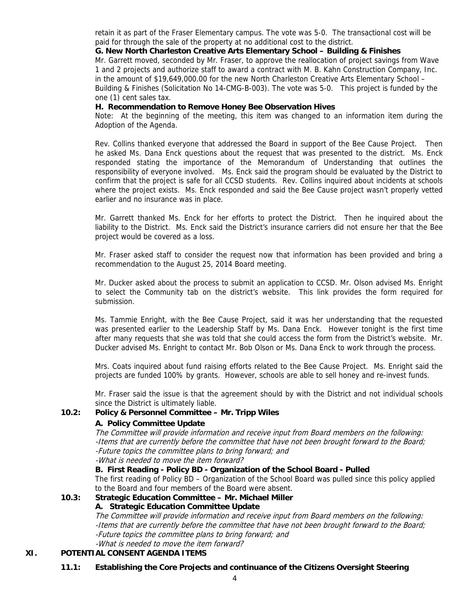retain it as part of the Fraser Elementary campus. The vote was 5-0. The transactional cost will be paid for through the sale of the property at no additional cost to the district.

### **G. New North Charleston Creative Arts Elementary School – Building & Finishes**

Mr. Garrett moved, seconded by Mr. Fraser, to approve the reallocation of project savings from Wave 1 and 2 projects and authorize staff to award a contract with M. B. Kahn Construction Company, Inc. in the amount of \$19,649,000.00 for the new North Charleston Creative Arts Elementary School – Building & Finishes (Solicitation No 14-CMG-B-003). The vote was 5-0. This project is funded by the one (1) cent sales tax.

#### **H. Recommendation to Remove Honey Bee Observation Hives**

Note: At the beginning of the meeting, this item was changed to an information item during the Adoption of the Agenda.

Rev. Collins thanked everyone that addressed the Board in support of the Bee Cause Project. Then he asked Ms. Dana Enck questions about the request that was presented to the district. Ms. Enck responded stating the importance of the Memorandum of Understanding that outlines the responsibility of everyone involved. Ms. Enck said the program should be evaluated by the District to confirm that the project is safe for all CCSD students. Rev. Collins inquired about incidents at schools where the project exists. Ms. Enck responded and said the Bee Cause project wasn't properly vetted earlier and no insurance was in place.

Mr. Garrett thanked Ms. Enck for her efforts to protect the District. Then he inquired about the liability to the District. Ms. Enck said the District's insurance carriers did not ensure her that the Bee project would be covered as a loss.

Mr. Fraser asked staff to consider the request now that information has been provided and bring a recommendation to the August 25, 2014 Board meeting.

Mr. Ducker asked about the process to submit an application to CCSD. Mr. Olson advised Ms. Enright to select the Community tab on the district's website. This link provides the form required for submission.

Ms. Tammie Enright, with the Bee Cause Project, said it was her understanding that the requested was presented earlier to the Leadership Staff by Ms. Dana Enck. However tonight is the first time after many requests that she was told that she could access the form from the District's website. Mr. Ducker advised Ms. Enright to contact Mr. Bob Olson or Ms. Dana Enck to work through the process.

Mrs. Coats inquired about fund raising efforts related to the Bee Cause Project. Ms. Enright said the projects are funded 100% by grants. However, schools are able to sell honey and re-invest funds.

Mr. Fraser said the issue is that the agreement should by with the District and not individual schools since the District is ultimately liable.

### **10.2: Policy & Personnel Committee – Mr. Tripp Wiles**

### **A. Policy Committee Update**

The Committee will provide information and receive input from Board members on the following: -Items that are currently before the committee that have not been brought forward to the Board; -Future topics the committee plans to bring forward; and

-What is needed to move the item forward?

## **B. First Reading - Policy BD - Organization of the School Board - Pulled**

The first reading of Policy BD – Organization of the School Board was pulled since this policy applied to the Board and four members of the Board were absent.

# **10.3: Strategic Education Committee – Mr. Michael Miller**

#### **A. Strategic Education Committee Update**

The Committee will provide information and receive input from Board members on the following: -Items that are currently before the committee that have not been brought forward to the Board; -Future topics the committee plans to bring forward; and -What is needed to move the item forward?

## **XI. POTENTIAL CONSENT AGENDA ITEMS**

**11.1: Establishing the Core Projects and continuance of the Citizens Oversight Steering**